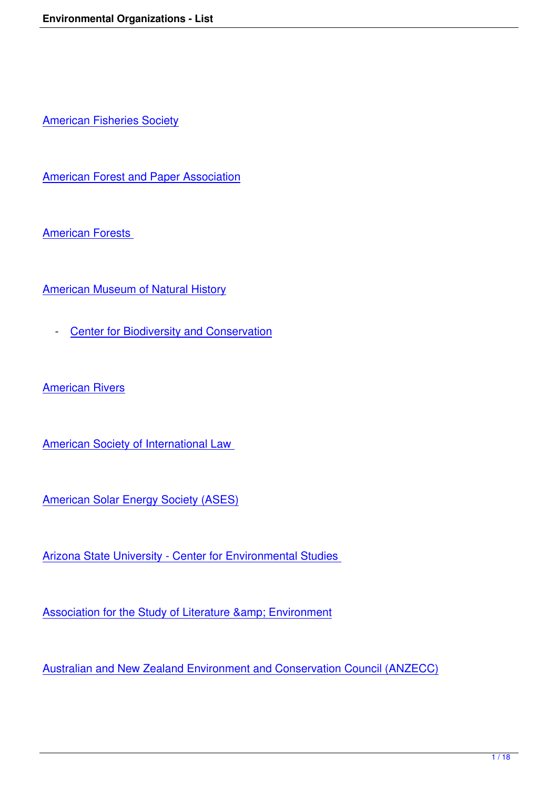American Fisheries Society

[American Forest and Paper](http://www.fisheries.org/) Association

[American Forests](http://www.afandpa.org/) 

[American Museum](http://www.americanforests.org/) of Natural History

- Center for Biodiversity and Conservation

Amer[ican Rivers](http://research.amnh.org/biodiversity/index.html)

**[American Society](http://www.americanrivers.org/site/PageServer) of International Law** 

[American Solar Energy Society \(ASES](http://www.asil.org/))

[Arizona State University - Center for En](http://www.ases.org/)vironmental Studies

Association for the Study of Literature & amp; Environment

[Australian and New Zealand Environment and Conservatio](http://www.asle.umn.edu/)n Council (ANZECC)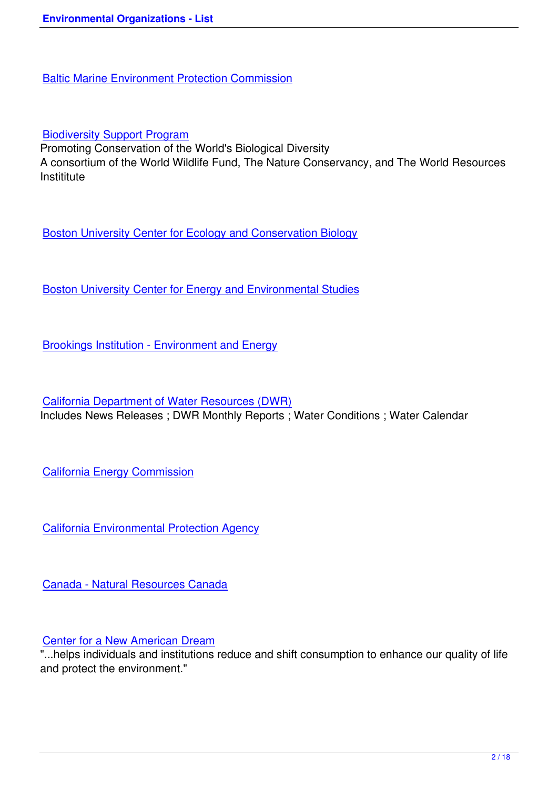[Biodiversity Support Program](http://www.helcom.fi/)

Promoting Conservation of the World's Biological Diversity A consortium of the World Wildlife Fund, The Nature Conservancy, and The World Resources **[Instititute](http://www.bsponline.org/)** 

Boston University Center for Ecology and Conservation Biology

[Boston University Center for Energy and Environmental Studies](http://www.bu.edu/cecb/default.html)

[Brookings Institution - Environment and Energy](http://www.bu.edu/cees/)

[California Department of Water Resources \(DW](http://www.brookings.edu/topics/environment.aspx)R) Includes News Releases ; DWR Monthly Reports ; Water Conditions ; Water Calendar

California Energy Commission

[California Environmental Prote](http://www.energy.ca.gov/)ction Agency

[Canada - Natural Resources Canada](http://www.calepa.ca.gov/)

# [Center for a New American Dream](http://www.nrcan.gc.ca/)

"...helps individuals and institutions reduce and shift consumption to enhance our quality of life and protect the environment."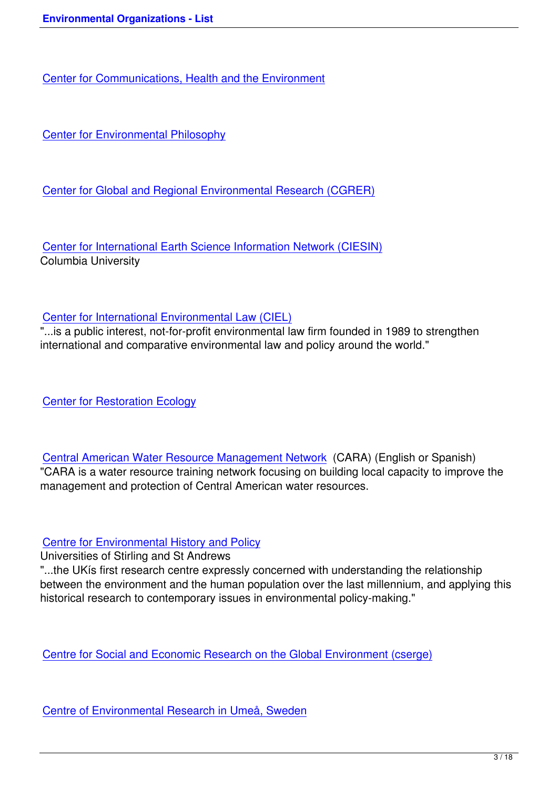# [Center for Environmental Philosophy](http://www.ceche.org/)

[Center for Global and Regional Envir](http://www.cep.unt.edu/)onmental Research (CGRER)

[Center for International Earth Science Information Network \(CIESIN](http://www.cgrer.uiowa.edu/)) Columbia University

### Center for International Environmental Law (CIEL)

"...is a public interest, not-for-profit environmental law firm founded in 1989 to strengthen international and comparative environmental law and policy around the world."

Center for Restoration Ecology

[Central American Water Resou](http://www.pitzer.edu/offices/firestone_center/index.html)rce Management Network (CARA) (English or Spanish) "CARA is a water resource training network focusing on building local capacity to improve the management and protection of Central American water resources.

### Centre for Environmental History and Policy

Universities of Stirling and St Andrews

"...the UKís first research centre expressly concerned with understanding the relationship [between the environment and the human pop](http://www.eseh.org/)ulation over the last millennium, and applying this historical research to contemporary issues in environmental policy-making."

Centre for Social and Economic Research on the Global Environment (cserge)

[Centre of Environmental Research in Umeå, Sweden](http://www.uea.ac.uk/env/cserge/)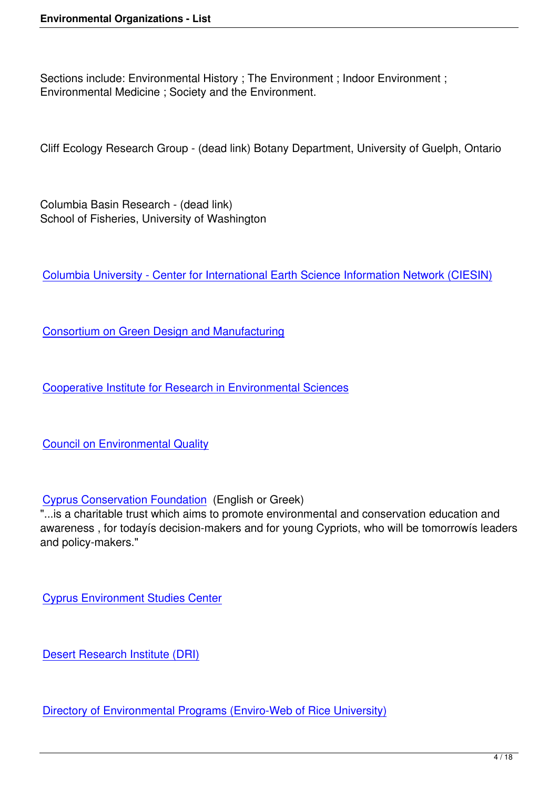Sections include: Environmental History ; The Environment ; Indoor Environment ; Environmental Medicine ; Society and the Environment.

Cliff Ecology Research Group - (dead link) Botany Department, University of Guelph, Ontario

Columbia Basin Research - (dead link) School of Fisheries, University of Washington

Columbia University - Center for International Earth Science Information Network (CIESIN)

[Consortium on Green Design and Manufacturing](http://www.ciesin.org/)

[Cooperative Institute for Research in Environmen](http://cgdm.berkeley.edu/)tal Sciences

[Council on Environmental Quality](http://cires.colorado.edu/)

[Cyprus Conservation Foundation](http://www.whitehouse.gov/ceq/) (English or Greek)

"...is a charitable trust which aims to promote environmental and conservation education and awareness , for todayís decision-makers and for young Cypriots, who will be tomorrowís leaders [and policy-makers."](http://www.conservation.org.cy/)

Cyprus Environment Studies Center

[Desert Research Institute \(DRI\)](http://www.esc.com.cy/)

[Directory of Environmental Prog](http://www.dri.edu/)rams (Enviro-Web of Rice University)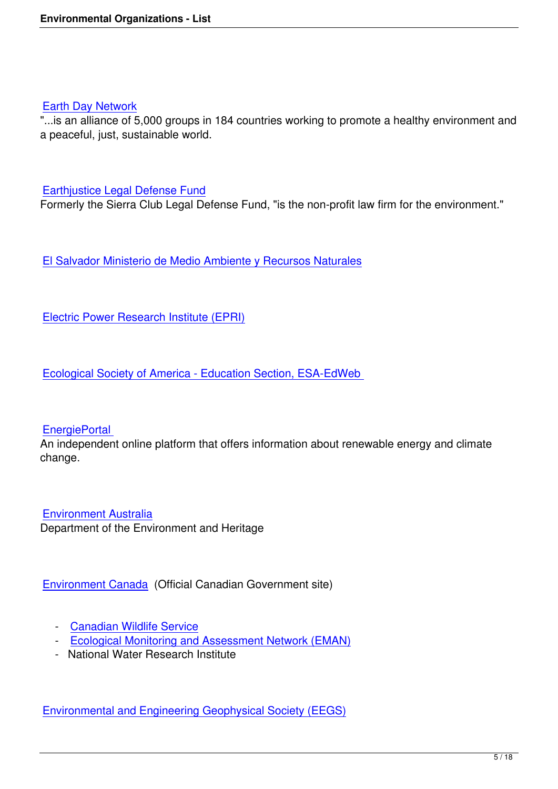#### Earth Day Network

"...is an alliance of 5,000 groups in 184 countries working to promote a healthy environment and a peaceful, just, sustainable world.

#### Earthjustice Legal Defense Fund

Formerly the Sierra Club Legal Defense Fund, "is the non-profit law firm for the environment."

El Salvador Ministerio de Medio Ambiente y Recursos Naturales

[Electric Power Research Institute \(EPRI\)](http://www.marn.gob.sv/)

[Ecological Society of America - Education](http://www.epri.com/) Section, ESA-EdWeb

### **EnergiePortal**

An independent online platform that offers information about renewable energy and climate change.

Environment Australia Department of the Environment and Heritage

Environment Canada (Official Canadian Government site)

- [Canadian Wildli](http://www.ec.gc.ca/)fe Service
- Ecological Monitoring and Assessment Network (EMAN)
- National Water Research Institute

Environmental and Engineering Geophysical Society (EEGS)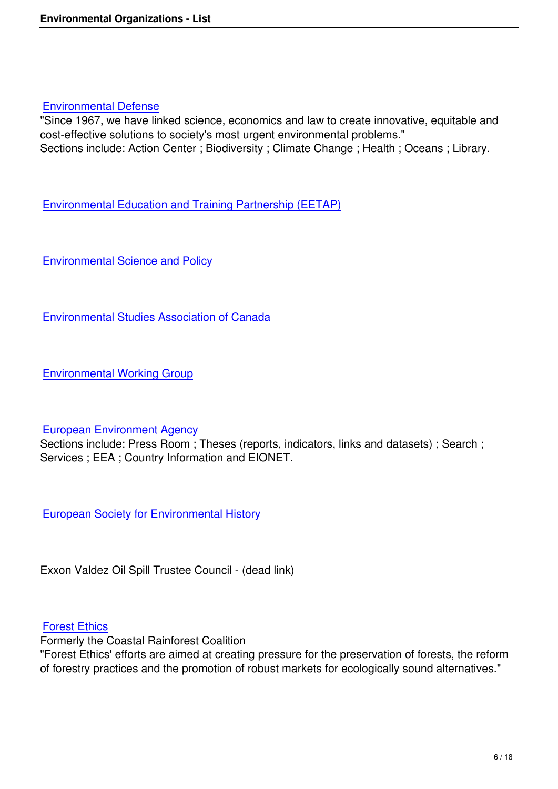#### Environmental Defense

"Since 1967, we have linked science, economics and law to create innovative, equitable and cost-effective solutions to society's most urgent environmental problems." [Sections include: Action](http://www.environmentaldefense.org/home.cfm) Center; Biodiversity; Climate Change; Health; Oceans; Library.

Environmental Education and Training Partnership (EETAP)

[Environmental Science and Policy](http://www.eetap.org/)

[Environmental Studies Association](http://cesp.stanford.edu/) of Canada

[Environmental Working Group](http://www.thegreenpages.ca/)

### [European Environment Agency](http://www.ewg.org/)

Sections include: Press Room ; Theses (reports, indicators, links and datasets) ; Search ; Services ; EEA ; Country Information and EIONET.

European Society for Environmental History

[Exxon Valdez Oil Spill Trustee Council - \(dea](http://www.eseh.org/)d link)

### Forest Ethics

Formerly the Coastal Rainforest Coalition

"Forest Ethics' efforts are aimed at creating pressure for the preservation of forests, the reform [of forestry pra](http://www.forestethics.org/html/eng/home.shtml)ctices and the promotion of robust markets for ecologically sound alternatives."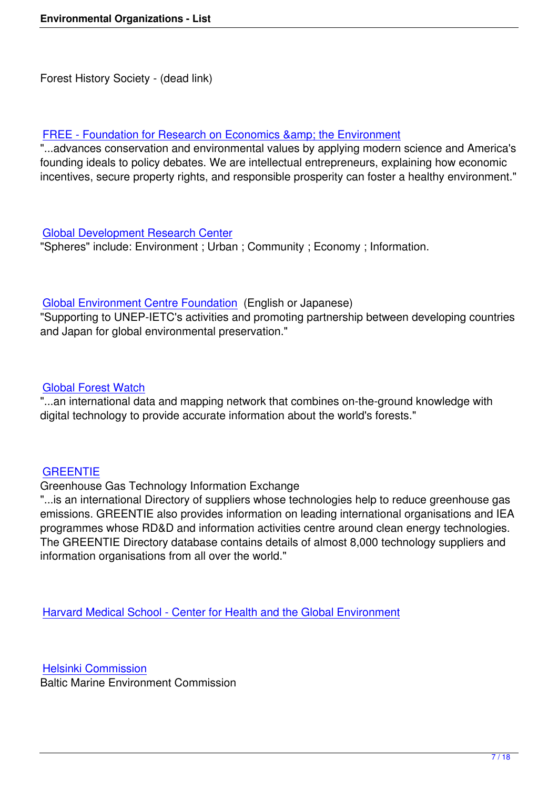# FREE - Foundation for Research on Economics & amp; the Environment

"...advances conservation and environmental values by applying modern science and America's founding ideals to policy debates. We are intellectual entrepreneurs, explaining how economic [incentives, secure property rights, and responsible prosperity can foster a](http://free-eco.org/) healthy environment."

### Global Development Research Center

"Spheres" include: Environment ; Urban ; Community ; Economy ; Information.

### Global Environment Centre Foundation (English or Japanese)

"Supporting to UNEP-IETC's activities and promoting partnership between developing countries and Japan for global environmental preservation."

### Global Forest Watch

"...an international data and mapping network that combines on-the-ground knowledge with digital technology to provide accurate information about the world's forests."

### **GREENTIE**

### Greenhouse Gas Technology Information Exchange

"...is an international Directory of suppliers whose technologies help to reduce greenhouse gas [emissions. G](http://www.greentie.org/)REENTIE also provides information on leading international organisations and IEA programmes whose RD&D and information activities centre around clean energy technologies. The GREENTIE Directory database contains details of almost 8,000 technology suppliers and information organisations from all over the world."

Harvard Medical School - Center for Health and the Global Environment

[Helsinki Commission](http://www.med.harvard.edu/)

Baltic Marine Environment Commission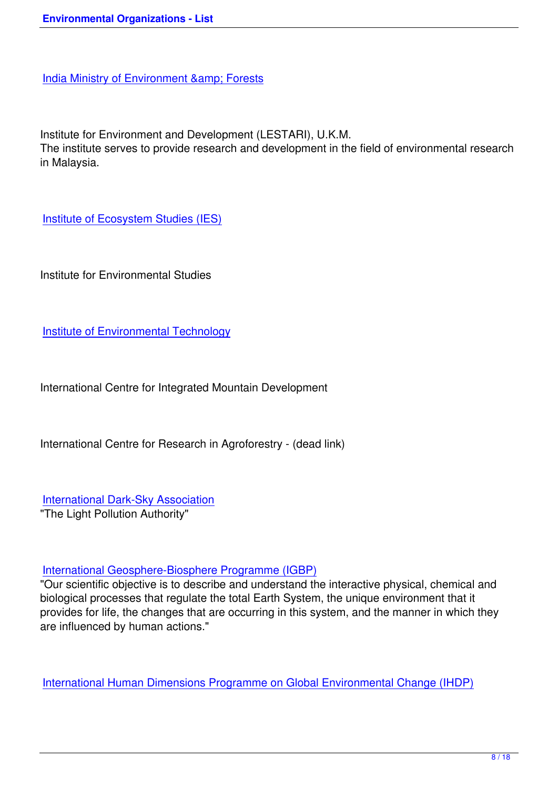[Institute for Environment and Development \(L](http://envfor.nic.in/)ESTARI), U.K.M.

The institute serves to provide research and development in the field of environmental research in Malaysia.

Institute of Ecosystem Studies (IES)

[Institute for Environmental Studies](http://www.ecostudies.org/)

Institute of Environmental Technology

[International Centre for Integrated Mou](http://www.ela-iet.com/)ntain Development

International Centre for Research in Agroforestry - (dead link)

International Dark-Sky Association "The Light Pollution Authority"

### International Geosphere-Biosphere Programme (IGBP)

"Our scientific objective is to describe and understand the interactive physical, chemical and biological processes that regulate the total Earth System, the unique environment that it [provides for life, the changes that are occurring in this sy](http://www.igbp.kva.se/)stem, and the manner in which they are influenced by human actions."

International Human Dimensions Programme on Global Environmental Change (IHDP)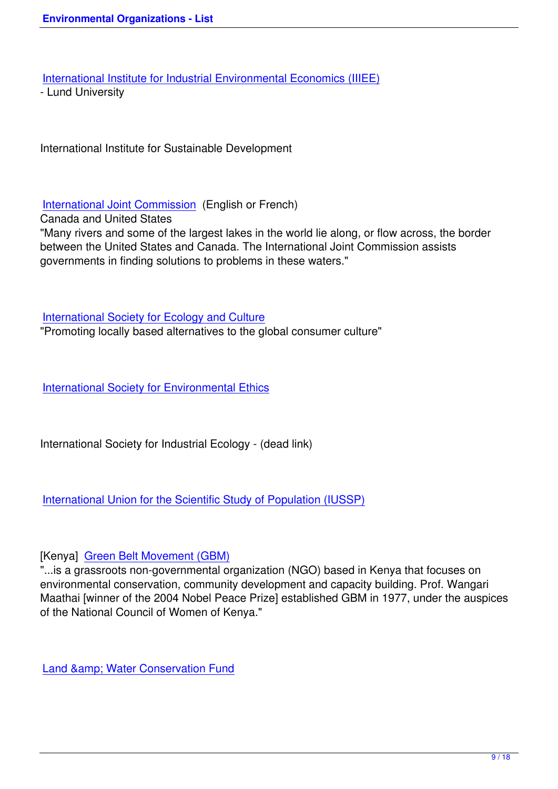International Institute for Industrial Environmental Economics (IIIEE)

- Lund University

International Institute for Sustainable Development

# International Joint Commission (English or French)

Canada and United States

"Many rivers and some of the largest lakes in the world lie along, or flow across, the border [between the United States and](http://www.ijc.org/) Canada. The International Joint Commission assists governments in finding solutions to problems in these waters."

International Society for Ecology and Culture

"Promoting locally based alternatives to the global consumer culture"

International Society for Environmental Ethics

[International Society for Industrial Ecology - \(d](http://www.cep.unt.edu/ISEE.html)ead link)

# International Union for the Scientific Study of Population (IUSSP)

# [\[Kenya\] Green Belt Movement \(GBM\)](http://www.iussp.org/)

"...is a grassroots non-governmental organization (NGO) based in Kenya that focuses on environmental conservation, community development and capacity building. Prof. Wangari Maathai [\[winner of the 2004 Nobel Pea](http://www.greenbeltmovement.org/)ce Prize] established GBM in 1977, under the auspices of the National Council of Women of Kenya."

Land & amp; Water Conservation Fund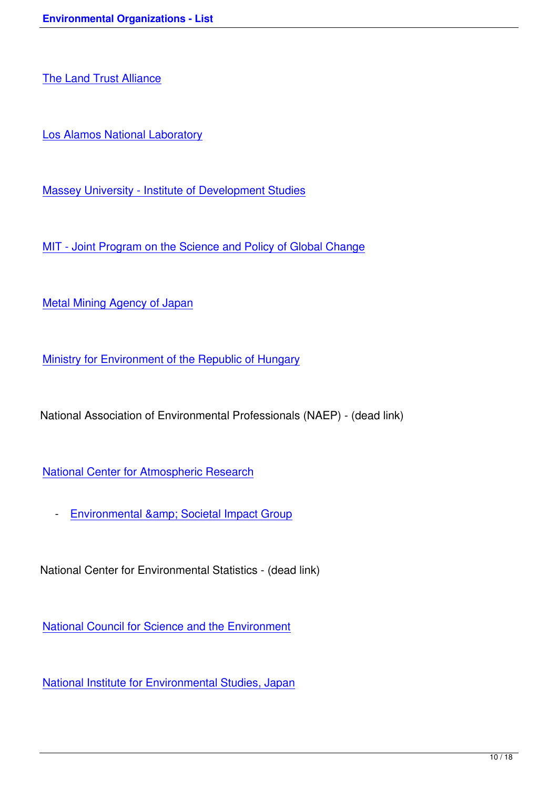[Los Alamos National La](http://www.lta.org/)boratory

[Massey University - Institute of D](http://www.lanl.gov/)evelopment Studies

[MIT - Joint Program on the Science and Policy of Glo](http://dev.massey.ac.nz/)bal Change

[Metal Mining Agency of Japan](http://globalchange.mit.edu/)

[Ministry for Environment of the](http://www.enecho.meti.go.jp/english/) Republic of Hungary

[National Association of Environmental Professionals](http://www.ktm.hu/index.php?lang=2) (NAEP) - (dead link)

National Center for Atmospheric Research

- Environmental & amp; Societal Impact Group

Natio[nal Center for Environmental Statistics - \(dead](http://www.esig.ucar.edu/) link)

National Council for Science and the Environment

[National Institute for Environmental Studies, Japan](http://www.cnie.org/)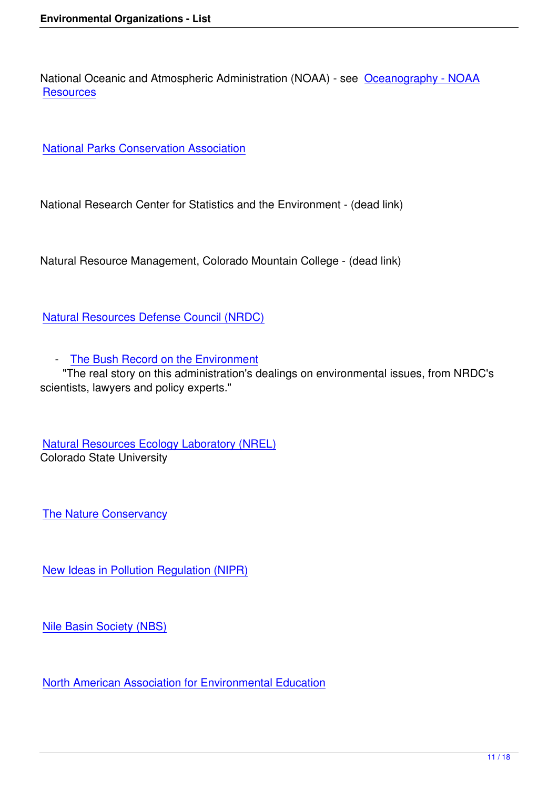National Oceanic and Atmospheric Administration (NOAA) - see Oceanography - NOAA **Resources** 

[National Pa](http://www.noaa.gov/ocean.html)rks Conservation Association

[National Research Center for Statistics an](http://www.npca.org/)d the Environment - (dead link)

Natural Resource Management, Colorado Mountain College - (dead link)

Natural Resources Defense Council (NRDC)

 [- The Bush Record on the Environment](http://www.nrdc.org/)

"The real story on this administration's dealings on environmental issues, from NRDC's scientists, lawyers and policy experts."

Natural Resources Ecology Laboratory (NREL) Colorado State University

The Nature Conservancy

[New Ideas in Pollution Re](http://www.nature.org/)gulation (NIPR)

[Nile Basin Society \(NBS\)](http://www.worldbank.org/nipr/)

[North American Associati](http://nilebasin.com/)on for Environmental Education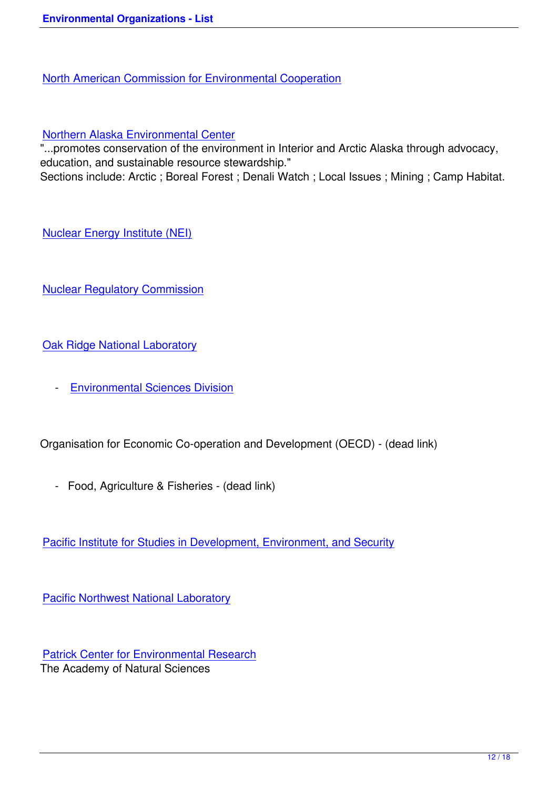### [Northern Alaska Environmental Center](http://www.cec.org/home/index.cfm?varlan=english)

"...promotes conservation of the environment in Interior and Arctic Alaska through advocacy, education, and sustainable resource stewardship." [Sections include: Arctic ; Boreal Forest](http://northern.org/) ; Denali Watch ; Local Issues ; Mining ; Camp Habitat.

Nuclear Energy Institute (NEI)

[Nuclear Regulatory Commissio](http://www.nei.org/)n

[Oak Ridge National Laboratory](http://www.nrc.gov/)

 [- Environmental Sciences D](http://www.ornl.gov/)ivision

Orga[nisation for Economic Co-operatio](http://www.esd.ornl.gov/)n and Development (OECD) - (dead link)

- Food, Agriculture & Fisheries - (dead link)

Pacific Institute for Studies in Development, Environment, and Security

[Pacific Northwest National Laboratory](http://www.pacinst.org/)

[Patrick Center for Environmental Rese](http://www.pnl.gov/)arch The Academy of Natural Sciences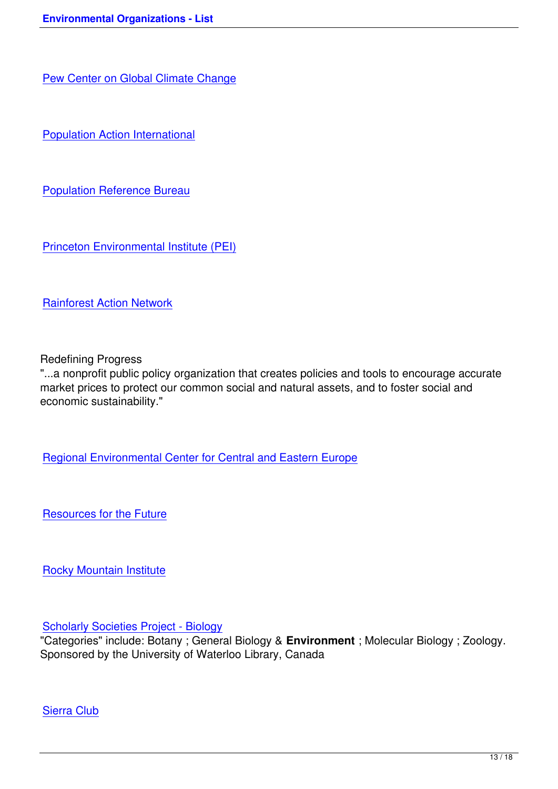[Population Action International](http://www.pewclimate.org/)

[Population Reference Bureau](http://www.populationaction.org/)

[Princeton Environmental Instit](http://www.prb.org/)ute (PEI)

[Rainforest Action Network](http://www.princeton.edu/pei/)

[Redefining Progress](http://www.ran.org/)

"...a nonprofit public policy organization that creates policies and tools to encourage accurate market prices to protect our common social and natural assets, and to foster social and economic sustainability."

Regional Environmental Center for Central and Eastern Europe

[Resources for the Future](http://www.rec.org/)

[Rocky Mountain Institute](http://www.rff.org/)

[Scholarly Societies Proje](http://www.rmi.org/)ct - Biology

"Categories" include: Botany ; General Biology & **Environment** ; Molecular Biology ; Zoology. Sponsored by the University of Waterloo Library, Canada

Sierra Club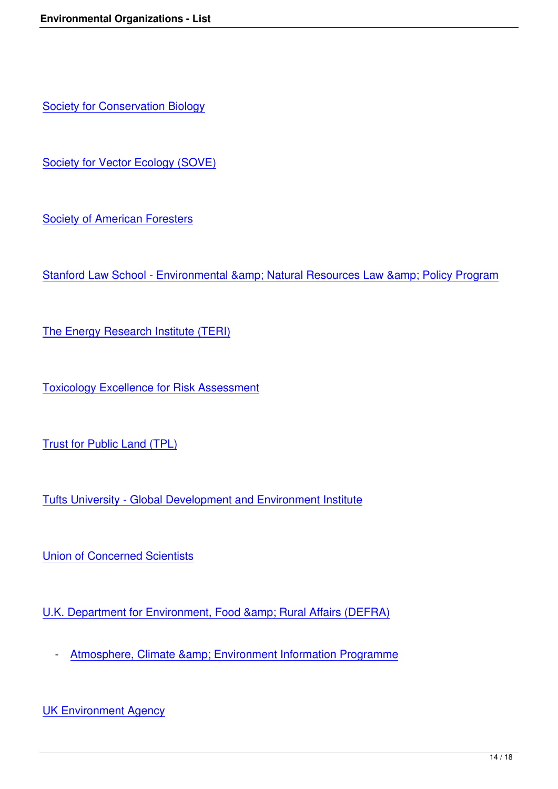**Society for Conservation Biology** 

[Society for Vector Ecology \(SOVE](http://conbio.net/))

[Society of American Foresters](http://www.sove.org/)

[Stanford Law School - Environ](http://www.safnet.org/)mental & amp; Natural Resources Law & amp; Policy Program

[The Energy Research Institute \(TERI\)](http://www.law.stanford.edu/naturalresources/)

[Toxicology Excellence for Risk Assess](http://www.teriin.org/)ment

[Trust for Public Land \(TPL\)](http://www.tera.org/)

[Tufts University - Global De](http://www.tpl.org/)velopment and Environment Institute

**[Union of Concerned Scientists](http://ase.tufts.edu/gdae/)** 

[U.K. Department for Environme](http://www.ucsusa.org/)nt, Food & amp; Rural Affairs (DEFRA)

- Atmosphere, Climate & amp; Environment Information Programme

UK E[nvironment Agency](http://www.ace.mmu.ac.uk/)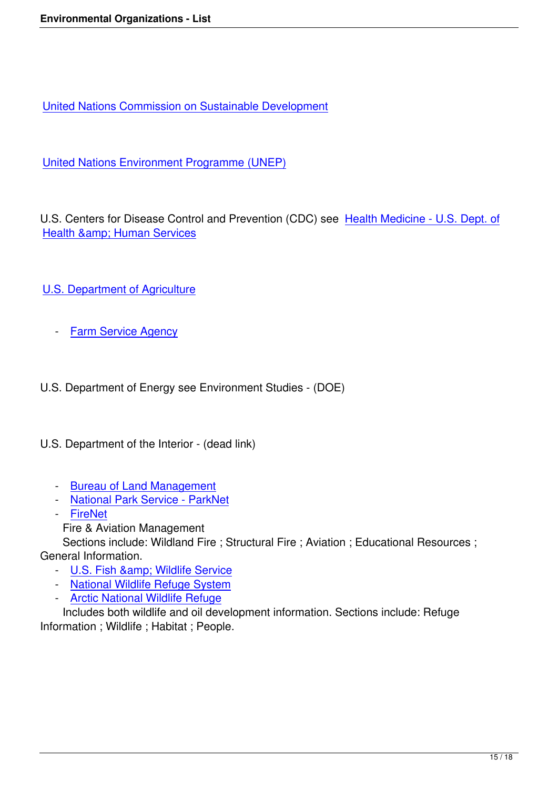United Nations Commission on Sustainable Development

[United Nations Environment Programme \(UNEP\)](http://www.un.org/esa/sustdev/index.html)

[U.S. Centers for Disease Control and Prevention \(](http://www.unep.org/)CDC) see Health Medicine - U.S. Dept. of Health & amp; Human Services

- [U.S. Department of Agriculture](http://health.nih.gov/)
	- [Farm Service Agency](http://www.usda.gov/)

U.S. [Department of Energy](http://www.fsa.usda.gov/pas/default.asp) see Environment Studies - (DOE)

U.S. Department of the Interior - (dead link)

- Bureau of Land Management
- National Park Service ParkNet
- FireNet
	- F[ire & Aviation Management](http://www.blm.gov/nhp/index.htm)

S[ections include: Wildland Fire ; S](http://www.nps.gov/)tructural Fire ; Aviation ; Educational Resources ; Gene[ral Inform](http://www.nps.gov/fire/)ation.

- U.S. Fish & amp; Wildlife Service
- National Wildlife Refuge System
- Arctic National Wildlife Refuge

I[ncludes both wildlife and oil devel](http://www.fws.gov/)opment information. Sections include: Refuge Infor[mation ; Wildlife ; Habitat ; People](http://refuges.fws.gov/).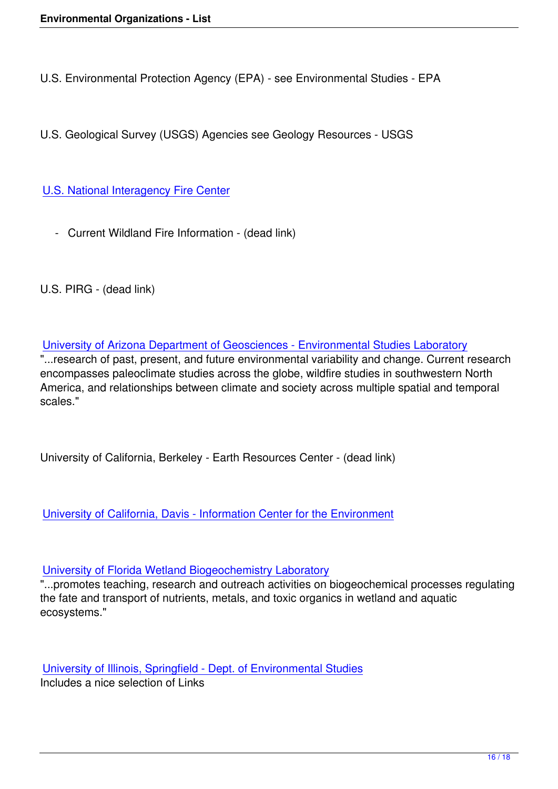U.S. Environmental Protection Agency (EPA) - see Environmental Studies - EPA

U.S. Geological Survey (USGS) Agencies see Geology Resources - USGS

U.S. National Interagency Fire Center

 [- Current Wildland Fire Information](http://www.nifc.gov/news/nicc.html) - (dead link)

U.S. PIRG - (dead link)

University of Arizona Department of Geosciences - Environmental Studies Laboratory "...research of past, present, and future environmental variability and change. Current research encompasses paleoclimate studies across the globe, wildfire studies in southwestern North [America, and relationships between climate and society across multiple spatial and tem](http://www.geo.arizona.edu/dgesl/)poral scales."

University of California, Berkeley - Earth Resources Center - (dead link)

University of California, Davis - Information Center for the Environment

[University of Florida Wetland Biogeochemistry Laboratory](http://ice.ucdavis.edu/)

"...promotes teaching, research and outreach activities on biogeochemical processes regulating the fate and transport of nutrients, metals, and toxic organics in wetland and aquatic [ecosystems."](http://wetlands.ifas.ufl.edu/)

University of Illinois, Springfield - Dept. of Environmental Studies Includes a nice selection of Links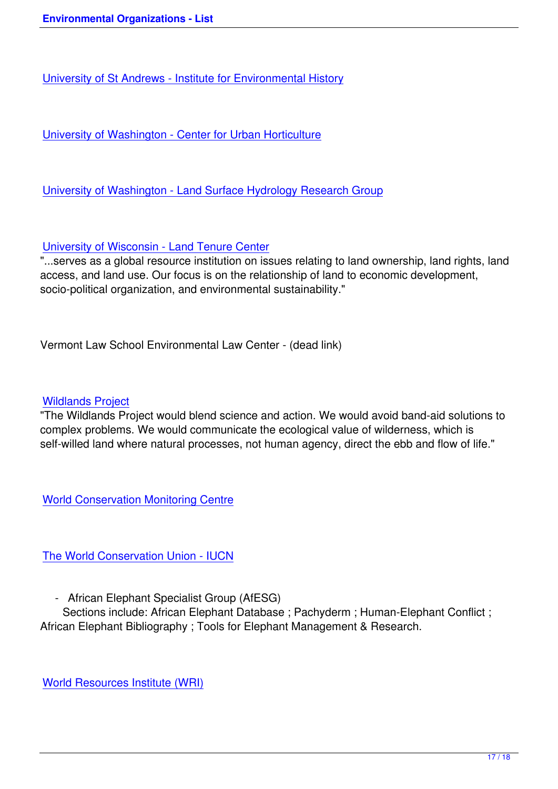University of St Andrews - Institute for Environmental History

[University of Washington - Center for Urban Horticulture](http://www.st-andrews.ac.uk/institutes/envhist/)

[University of Washington - Land Surface Hydrology Rese](http://depts.washington.edu/urbhort/)arch Group

[University of Wisconsin - Land Tenure Center](http://www.hydro.washington.edu/)

"...serves as a global resource institution on issues relating to land ownership, land rights, land access, and land use. Our focus is on the relationship of land to economic development, [socio-political organization, and environmental](http://www.nelson.wisc.edu/missing.html) sustainability."

Vermont Law School Environmental Law Center - (dead link)

### Wildlands Project

"The Wildlands Project would blend science and action. We would avoid band-aid solutions to complex problems. We would communicate the ecological value of wilderness, which is [self-willed land wh](http://www.twp.org/)ere natural processes, not human agency, direct the ebb and flow of life."

World Conservation Monitoring Centre

[The World Conservation Union - IUCN](http://www.wcmc.org.uk/)

 [- African Elephant Specialist Group](http://www.iucn.org/) (AfESG)

Sections include: African Elephant Database ; Pachyderm ; Human-Elephant Conflict ; African Elephant Bibliography ; Tools for Elephant Management & Research.

World Resources Institute (WRI)